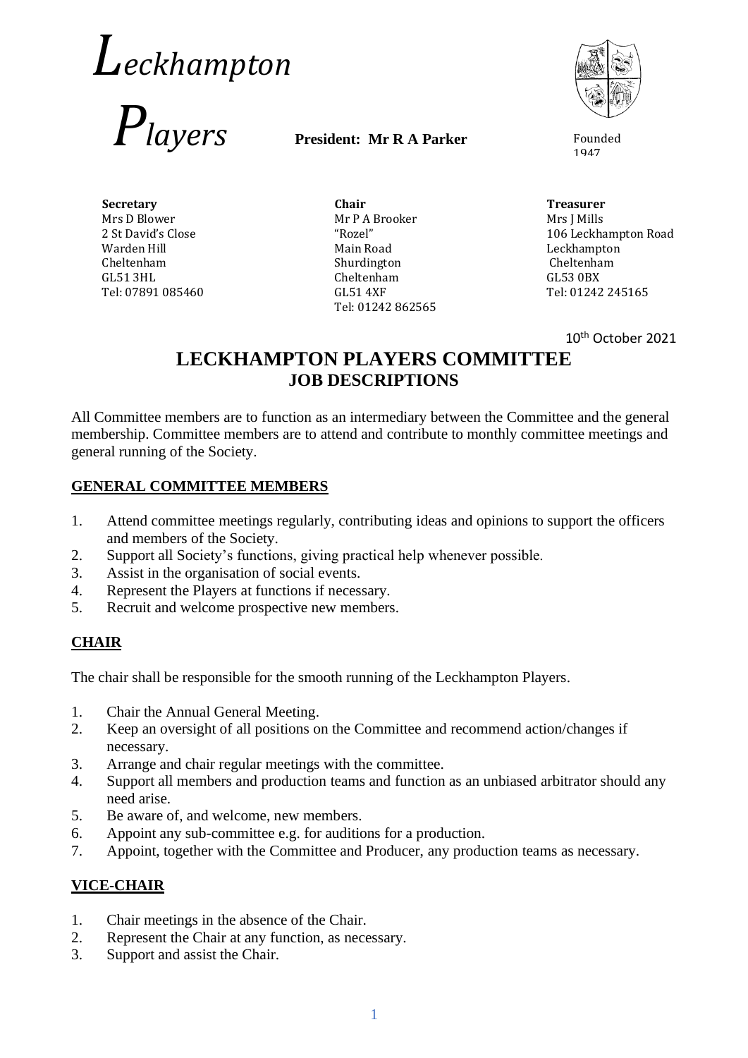# *Leckhampton*



#### **President: Mr R A Parker**



1947

**Secretary** Mrs D Blower 2 St David's Close Warden Hill Cheltenham GL51 3HL Tel: 07891 085460

**Chair** Mr P A Brooker "Rozel" Main Road Shurdington Cheltenham GL51 4XF Tel: 01242 862565

**Treasurer** Mrs J Mills 106 Leckhampton Road Leckhampton Cheltenham GL53 0BX Tel: 01242 245165

10th October 2021

## **LECKHAMPTON PLAYERS COMMITTEE JOB DESCRIPTIONS**

All Committee members are to function as an intermediary between the Committee and the general membership. Committee members are to attend and contribute to monthly committee meetings and general running of the Society.

#### **GENERAL COMMITTEE MEMBERS**

- 1. Attend committee meetings regularly, contributing ideas and opinions to support the officers and members of the Society.
- 2. Support all Society's functions, giving practical help whenever possible.
- 3. Assist in the organisation of social events.
- 4. Represent the Players at functions if necessary.
- 5. Recruit and welcome prospective new members.

#### **CHAIR**

The chair shall be responsible for the smooth running of the Leckhampton Players.

- 1. Chair the Annual General Meeting.
- 2. Keep an oversight of all positions on the Committee and recommend action/changes if necessary.
- 3. Arrange and chair regular meetings with the committee.
- 4. Support all members and production teams and function as an unbiased arbitrator should any need arise.
- 5. Be aware of, and welcome, new members.
- 6. Appoint any sub-committee e.g. for auditions for a production.
- 7. Appoint, together with the Committee and Producer, any production teams as necessary.

#### **VICE-CHAIR**

- 1. Chair meetings in the absence of the Chair.
- 2. Represent the Chair at any function, as necessary.
- 3. Support and assist the Chair.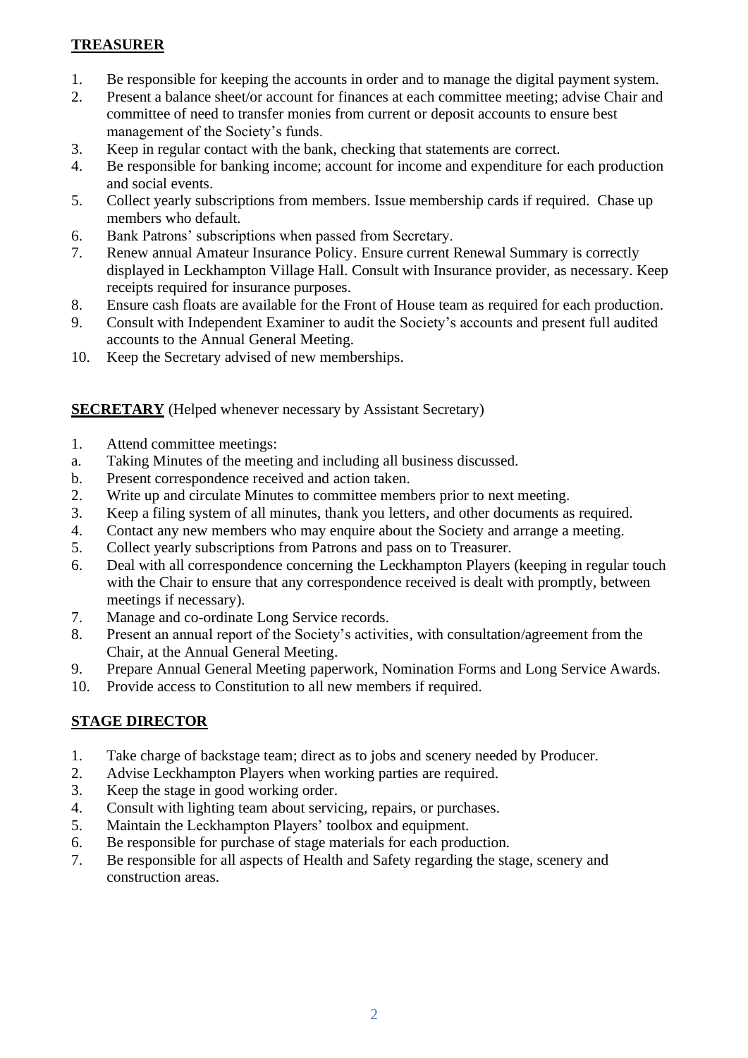#### **TREASURER**

- 1. Be responsible for keeping the accounts in order and to manage the digital payment system.
- 2. Present a balance sheet/or account for finances at each committee meeting; advise Chair and committee of need to transfer monies from current or deposit accounts to ensure best management of the Society's funds.
- 3. Keep in regular contact with the bank, checking that statements are correct.
- 4. Be responsible for banking income; account for income and expenditure for each production and social events.
- 5. Collect yearly subscriptions from members. Issue membership cards if required. Chase up members who default.
- 6. Bank Patrons' subscriptions when passed from Secretary.
- 7. Renew annual Amateur Insurance Policy. Ensure current Renewal Summary is correctly displayed in Leckhampton Village Hall. Consult with Insurance provider, as necessary. Keep receipts required for insurance purposes.
- 8. Ensure cash floats are available for the Front of House team as required for each production.
- 9. Consult with Independent Examiner to audit the Society's accounts and present full audited accounts to the Annual General Meeting.
- 10. Keep the Secretary advised of new memberships.

#### **SECRETARY** (Helped whenever necessary by Assistant Secretary)

- 1. Attend committee meetings:
- a. Taking Minutes of the meeting and including all business discussed.
- b. Present correspondence received and action taken.
- 2. Write up and circulate Minutes to committee members prior to next meeting.
- 3. Keep a filing system of all minutes, thank you letters, and other documents as required.
- 4. Contact any new members who may enquire about the Society and arrange a meeting.
- 5. Collect yearly subscriptions from Patrons and pass on to Treasurer.
- 6. Deal with all correspondence concerning the Leckhampton Players (keeping in regular touch with the Chair to ensure that any correspondence received is dealt with promptly, between meetings if necessary).
- 7. Manage and co-ordinate Long Service records.
- 8. Present an annual report of the Society's activities, with consultation/agreement from the Chair, at the Annual General Meeting.
- 9. Prepare Annual General Meeting paperwork, Nomination Forms and Long Service Awards.
- 10. Provide access to Constitution to all new members if required.

#### **STAGE DIRECTOR**

- 1. Take charge of backstage team; direct as to jobs and scenery needed by Producer.
- 2. Advise Leckhampton Players when working parties are required.
- 3. Keep the stage in good working order.
- 4. Consult with lighting team about servicing, repairs, or purchases.
- 5. Maintain the Leckhampton Players' toolbox and equipment.
- 6. Be responsible for purchase of stage materials for each production.
- 7. Be responsible for all aspects of Health and Safety regarding the stage, scenery and construction areas.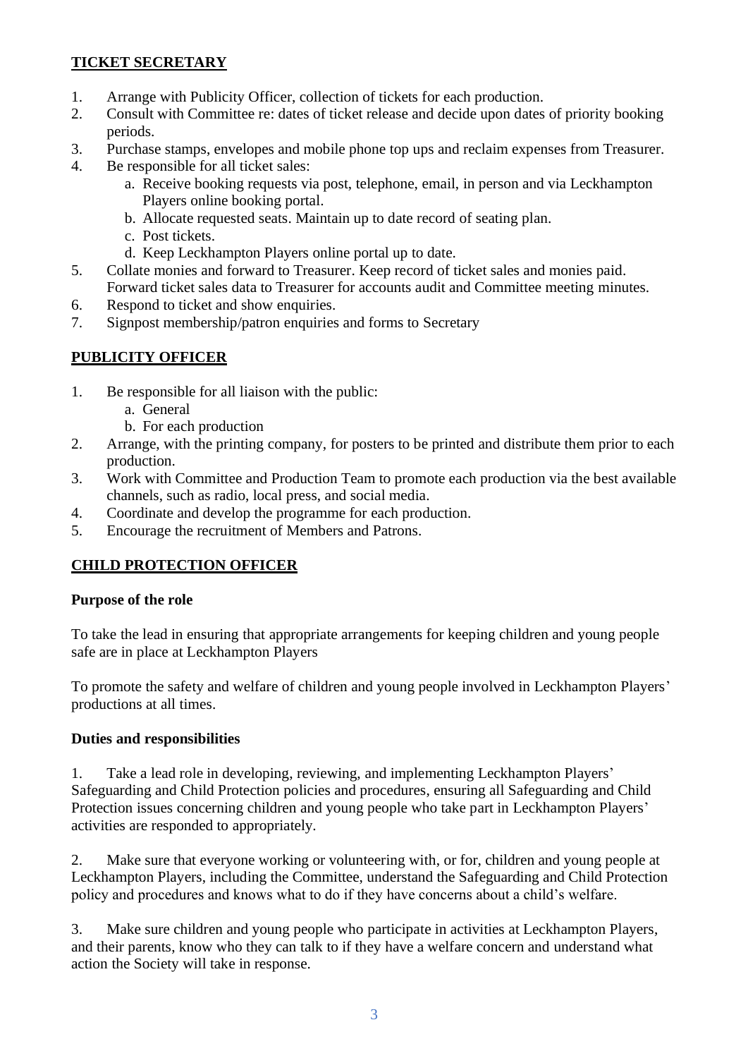#### **TICKET SECRETARY**

- 1. Arrange with Publicity Officer, collection of tickets for each production.
- 2. Consult with Committee re: dates of ticket release and decide upon dates of priority booking periods.
- 3. Purchase stamps, envelopes and mobile phone top ups and reclaim expenses from Treasurer.
- 4. Be responsible for all ticket sales:
	- a. Receive booking requests via post, telephone, email, in person and via Leckhampton Players online booking portal.
	- b. Allocate requested seats. Maintain up to date record of seating plan.
	- c. Post tickets.
	- d. Keep Leckhampton Players online portal up to date.
- 5. Collate monies and forward to Treasurer. Keep record of ticket sales and monies paid. Forward ticket sales data to Treasurer for accounts audit and Committee meeting minutes.
- 6. Respond to ticket and show enquiries.
- 7. Signpost membership/patron enquiries and forms to Secretary

### **PUBLICITY OFFICER**

- 1. Be responsible for all liaison with the public:
	- a. General
	- b. For each production
- 2. Arrange, with the printing company, for posters to be printed and distribute them prior to each production.
- 3. Work with Committee and Production Team to promote each production via the best available channels, such as radio, local press, and social media.
- 4. Coordinate and develop the programme for each production.
- 5. Encourage the recruitment of Members and Patrons.

## **CHILD PROTECTION OFFICER**

#### **Purpose of the role**

To take the lead in ensuring that appropriate arrangements for keeping children and young people safe are in place at Leckhampton Players

To promote the safety and welfare of children and young people involved in Leckhampton Players' productions at all times.

#### **Duties and responsibilities**

1. Take a lead role in developing, reviewing, and implementing Leckhampton Players' Safeguarding and Child Protection policies and procedures, ensuring all Safeguarding and Child Protection issues concerning children and young people who take part in Leckhampton Players' activities are responded to appropriately.

2. Make sure that everyone working or volunteering with, or for, children and young people at Leckhampton Players, including the Committee, understand the Safeguarding and Child Protection policy and procedures and knows what to do if they have concerns about a child's welfare.

3. Make sure children and young people who participate in activities at Leckhampton Players, and their parents, know who they can talk to if they have a welfare concern and understand what action the Society will take in response.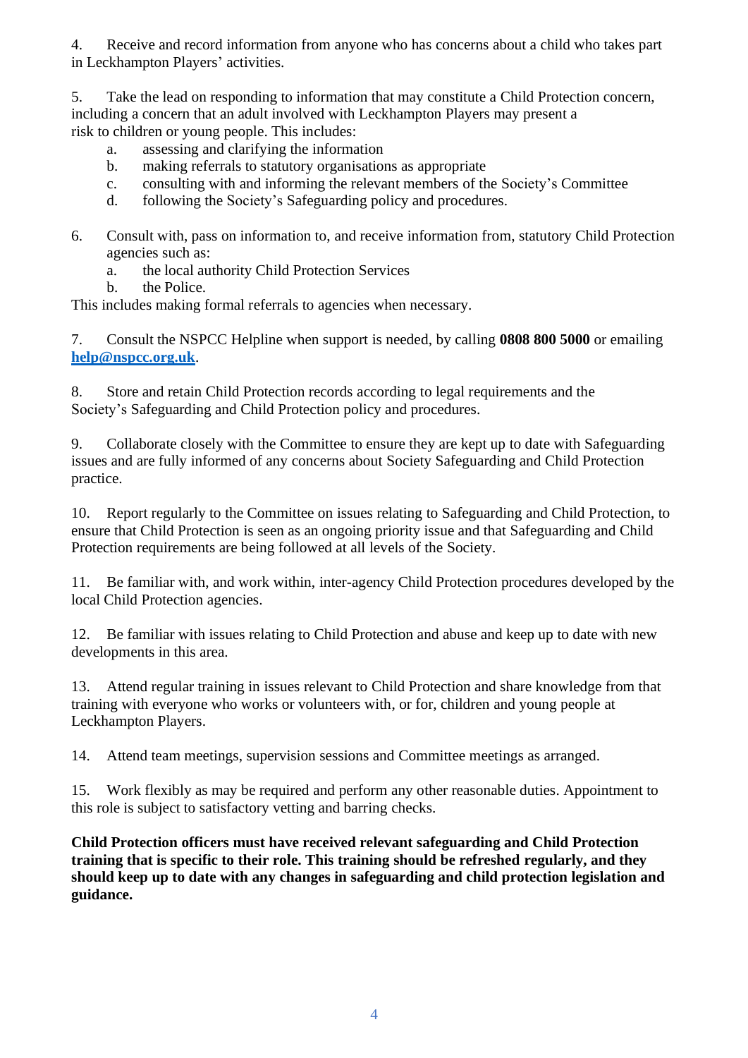4. Receive and record information from anyone who has concerns about a child who takes part in Leckhampton Players' activities.

5. Take the lead on responding to information that may constitute a Child Protection concern, including a concern that an adult involved with Leckhampton Players may present a risk to children or young people. This includes:

- a. assessing and clarifying the information
- b. making referrals to statutory organisations as appropriate
- c. consulting with and informing the relevant members of the Society's Committee
- d. following the Society's Safeguarding policy and procedures.
- 6. Consult with, pass on information to, and receive information from, statutory Child Protection agencies such as:
	- a. the local authority Child Protection Services
	- b. the Police.

This includes making formal referrals to agencies when necessary.

7. Consult the NSPCC Helpline when support is needed, by calling **0808 800 5000** or emailing **[help@nspcc.org.uk](mailto:help@nspcc.org.uk)**.

8. Store and retain Child Protection records according to legal requirements and the Society's Safeguarding and Child Protection policy and procedures.

9. Collaborate closely with the Committee to ensure they are kept up to date with Safeguarding issues and are fully informed of any concerns about Society Safeguarding and Child Protection practice.

10. Report regularly to the Committee on issues relating to Safeguarding and Child Protection, to ensure that Child Protection is seen as an ongoing priority issue and that Safeguarding and Child Protection requirements are being followed at all levels of the Society.

11. Be familiar with, and work within, inter-agency Child Protection procedures developed by the local Child Protection agencies.

12. Be familiar with issues relating to Child Protection and abuse and keep up to date with new developments in this area.

13. Attend regular training in issues relevant to Child Protection and share knowledge from that training with everyone who works or volunteers with, or for, children and young people at Leckhampton Players.

14. Attend team meetings, supervision sessions and Committee meetings as arranged.

15. Work flexibly as may be required and perform any other reasonable duties. Appointment to this role is subject to satisfactory vetting and barring checks.

**Child Protection officers must have received relevant safeguarding and Child Protection training that is specific to their role. This training should be refreshed regularly, and they should keep up to date with any changes in safeguarding and child protection legislation and guidance.**